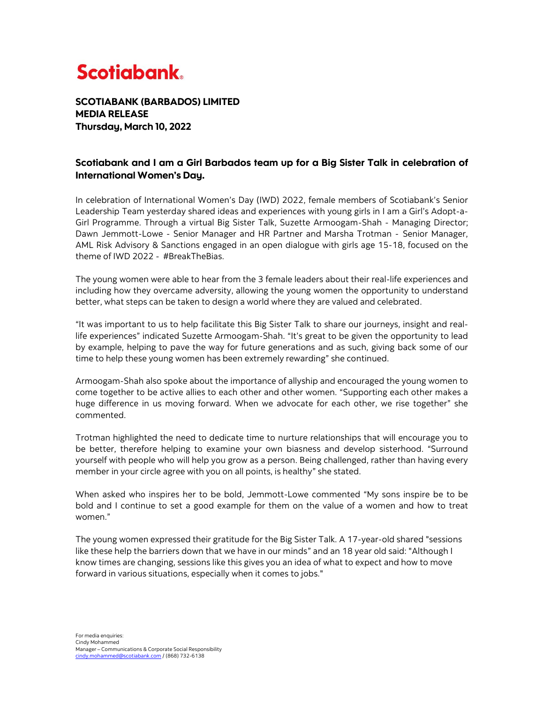## **Scotiabank.**

SCOTIABANK (BARBADOS) LIMITED MEDIA RELEASE Thursday, March 10, 2022

## Scotiabank and I am a Girl Barbados team up for a Big Sister Talk in celebration of International Women's Day.

In celebration of International Women's Day (IWD) 2022, female members of Scotiabank's Senior Leadership Team yesterday shared ideas and experiences with young girls in I am a Girl's Adopt-a-Girl Programme. Through a virtual Big Sister Talk, Suzette Armoogam-Shah - Managing Director; Dawn Jemmott-Lowe - Senior Manager and HR Partner and Marsha Trotman - Senior Manager, AML Risk Advisory & Sanctions engaged in an open dialogue with girls age 15-18, focused on the theme of IWD 2022 - #BreakTheBias.

The young women were able to hear from the 3 female leaders about their real-life experiences and including how they overcame adversity, allowing the young women the opportunity to understand better, what steps can be taken to design a world where they are valued and celebrated.

"It was important to us to help facilitate this Big Sister Talk to share our journeys, insight and reallife experiences" indicated Suzette Armoogam-Shah. "It's great to be given the opportunity to lead by example, helping to pave the way for future generations and as such, giving back some of our time to help these young women has been extremely rewarding" she continued.

Armoogam-Shah also spoke about the importance of allyship and encouraged the young women to come together to be active allies to each other and other women. "Supporting each other makes a huge difference in us moving forward. When we advocate for each other, we rise together" she commented.

Trotman highlighted the need to dedicate time to nurture relationships that will encourage you to be better, therefore helping to examine your own biasness and develop sisterhood. "Surround yourself with people who will help you grow as a person. Being challenged, rather than having every member in your circle agree with you on all points, is healthy" she stated.

When asked who inspires her to be bold, Jemmott-Lowe commented "My sons inspire be to be bold and I continue to set a good example for them on the value of a women and how to treat women."

The young women expressed their gratitude for the Big Sister Talk. A 17-year-old shared "sessions like these help the barriers down that we have in our minds" and an 18 year old said: "Although I know times are changing, sessions like this gives you an idea of what to expect and how to move forward in various situations, especially when it comes to jobs."